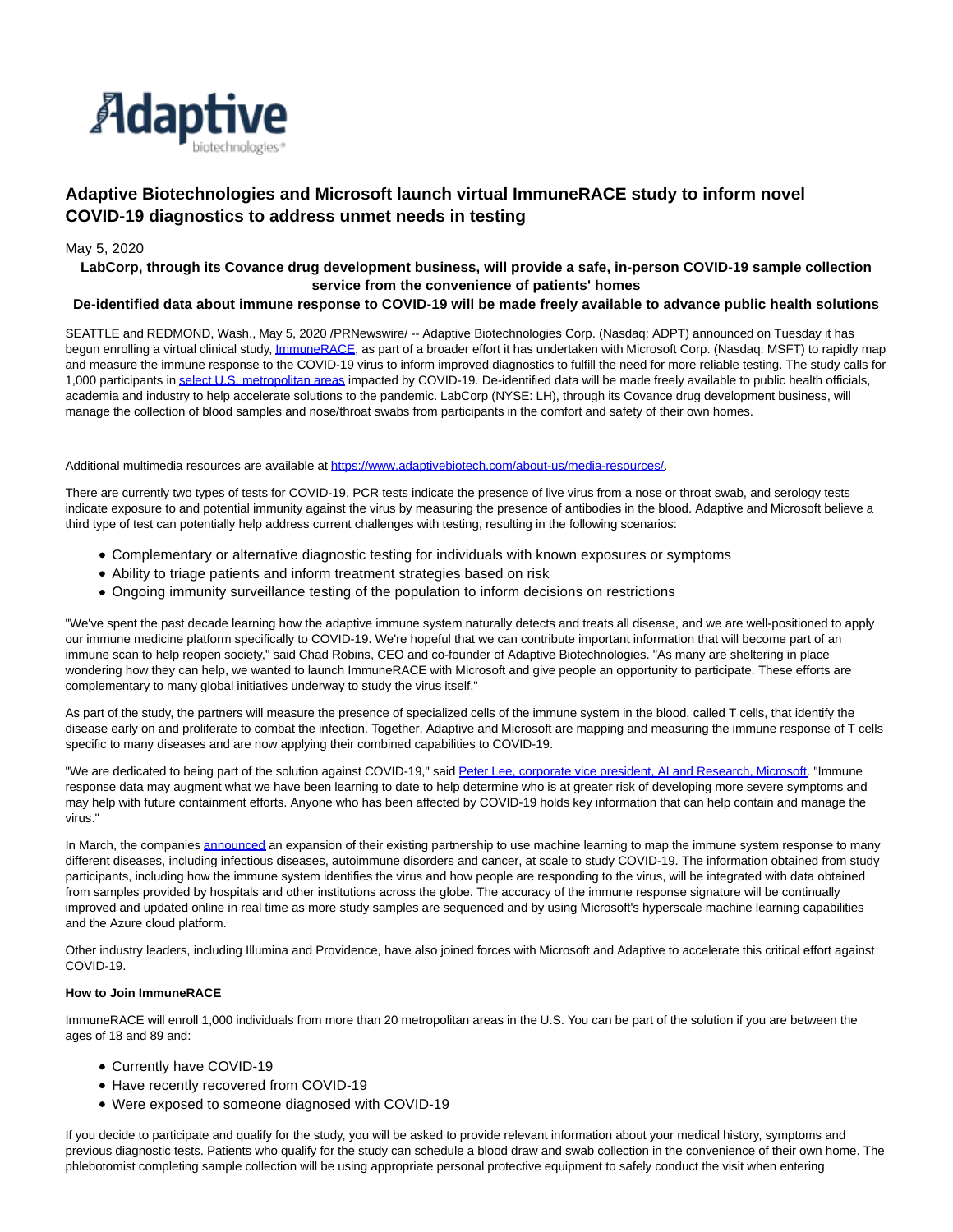

# **Adaptive Biotechnologies and Microsoft launch virtual ImmuneRACE study to inform novel COVID-19 diagnostics to address unmet needs in testing**

# May 5, 2020

# **LabCorp, through its Covance drug development business, will provide a safe, in-person COVID-19 sample collection service from the convenience of patients' homes**

## **De-identified data about immune response to COVID-19 will be made freely available to advance public health solutions**

SEATTLE and REDMOND, Wash., May 5, 2020 /PRNewswire/ -- Adaptive Biotechnologies Corp. (Nasdaq: ADPT) announced on Tuesday it has begun enrolling a virtual clinical study, *ImmuneRACE*, as part of a broader effort it has undertaken with Microsoft Corp. (Nasdaq: MSFT) to rapidly map and measure the immune response to the COVID-19 virus to inform improved diagnostics to fulfill the need for more reliable testing. The study calls for 1,000 participants i[n select U.S. metropolitan areas i](https://c212.net/c/link/?t=0&l=en&o=2794583-1&h=2749581839&u=https%3A%2F%2Fimmunerace.adaptivebiotech.com%2Fhow-to-participate%2F&a=select+U.S.+metropolitan+areas)mpacted by COVID-19. De-identified data will be made freely available to public health officials, academia and industry to help accelerate solutions to the pandemic. LabCorp (NYSE: LH), through its Covance drug development business, will manage the collection of blood samples and nose/throat swabs from participants in the comfort and safety of their own homes.

#### Additional multimedia resources are available at [https://www.adaptivebiotech.com/about-us/media-resources/.](https://c212.net/c/link/?t=0&l=en&o=2794583-1&h=2999151048&u=https%3A%2F%2Fwww.adaptivebiotech.com%2Fabout-us%2Fmedia-resources%2F&a=https%3A%2F%2Fwww.adaptivebiotech.com%2Fabout-us%2Fmedia-resources%2F)

There are currently two types of tests for COVID-19. PCR tests indicate the presence of live virus from a nose or throat swab, and serology tests indicate exposure to and potential immunity against the virus by measuring the presence of antibodies in the blood. Adaptive and Microsoft believe a third type of test can potentially help address current challenges with testing, resulting in the following scenarios:

- Complementary or alternative diagnostic testing for individuals with known exposures or symptoms
- Ability to triage patients and inform treatment strategies based on risk
- Ongoing immunity surveillance testing of the population to inform decisions on restrictions

"We've spent the past decade learning how the adaptive immune system naturally detects and treats all disease, and we are well-positioned to apply our immune medicine platform specifically to COVID-19. We're hopeful that we can contribute important information that will become part of an immune scan to help reopen society," said Chad Robins, CEO and co-founder of Adaptive Biotechnologies. "As many are sheltering in place wondering how they can help, we wanted to launch ImmuneRACE with Microsoft and give people an opportunity to participate. These efforts are complementary to many global initiatives underway to study the virus itself."

As part of the study, the partners will measure the presence of specialized cells of the immune system in the blood, called T cells, that identify the disease early on and proliferate to combat the infection. Together, Adaptive and Microsoft are mapping and measuring the immune response of T cells specific to many diseases and are now applying their combined capabilities to COVID-19.

"We are dedicated to being part of the solution against COVID-19," said [Peter Lee, corporate vice president, AI and Research, Microsoft.](https://c212.net/c/link/?t=0&l=en&o=2794583-1&h=1139415475&u=https%3A%2F%2Fblogs.microsoft.com%2F%3Fp%3D52551358&a=Peter+Lee%2C+corporate+vice+president%2C+AI+and+Research%2C+Microsoft) "Immune response data may augment what we have been learning to date to help determine who is at greater risk of developing more severe symptoms and may help with future containment efforts. Anyone who has been affected by COVID-19 holds key information that can help contain and manage the virus."

In March, the companies [announced a](https://c212.net/c/link/?t=0&l=en&o=2794583-1&h=3046678918&u=https%3A%2F%2Finvestors.adaptivebiotech.com%2Fnews-releases%2Fnews-release-details%2Fadaptive-biotechnologies-and-microsoft-expand-partnership-decode&a=announced)n expansion of their existing partnership to use machine learning to map the immune system response to many different diseases, including infectious diseases, autoimmune disorders and cancer, at scale to study COVID-19. The information obtained from study participants, including how the immune system identifies the virus and how people are responding to the virus, will be integrated with data obtained from samples provided by hospitals and other institutions across the globe. The accuracy of the immune response signature will be continually improved and updated online in real time as more study samples are sequenced and by using Microsoft's hyperscale machine learning capabilities and the Azure cloud platform.

Other industry leaders, including Illumina and Providence, have also joined forces with Microsoft and Adaptive to accelerate this critical effort against COVID-19.

## **How to Join ImmuneRACE**

ImmuneRACE will enroll 1,000 individuals from more than 20 metropolitan areas in the U.S. You can be part of the solution if you are between the ages of 18 and 89 and:

- Currently have COVID-19
- Have recently recovered from COVID-19
- Were exposed to someone diagnosed with COVID-19

If you decide to participate and qualify for the study, you will be asked to provide relevant information about your medical history, symptoms and previous diagnostic tests. Patients who qualify for the study can schedule a blood draw and swab collection in the convenience of their own home. The phlebotomist completing sample collection will be using appropriate personal protective equipment to safely conduct the visit when entering